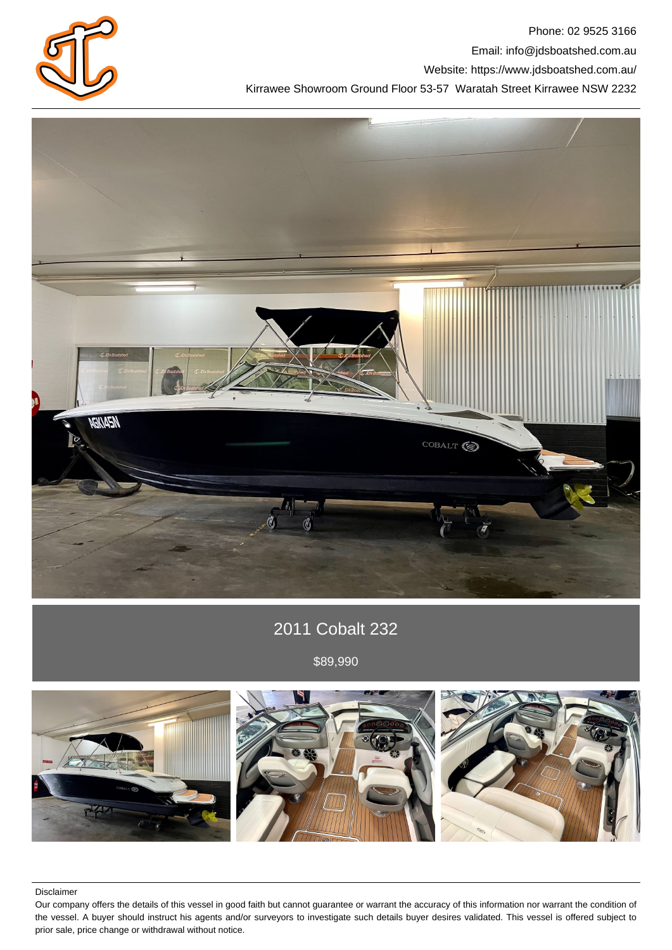

Phone: 02 9525 3166 Email: info@jdsboatshed.com.au Website: https://www.jdsboatshed.com.au/ Kirrawee Showroom Ground Floor 53-57 Waratah Street Kirrawee NSW 2232



## 2011 Cobalt 232

\$89,990



Disclaimer

Our company offers the details of this vessel in good faith but cannot guarantee or warrant the accuracy of this information nor warrant the condition of the vessel. A buyer should instruct his agents and/or surveyors to investigate such details buyer desires validated. This vessel is offered subject to prior sale, price change or withdrawal without notice.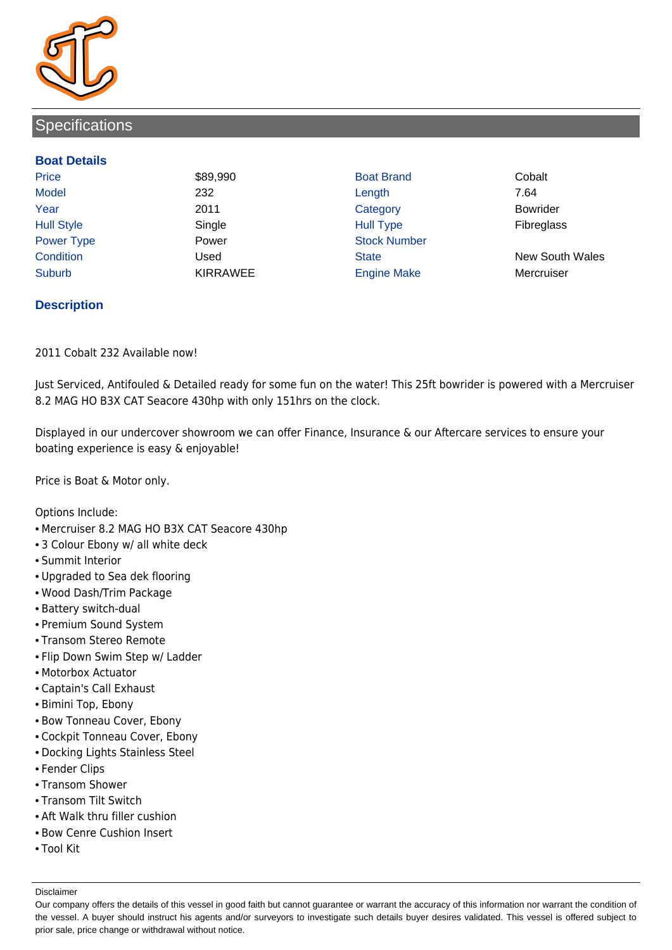

## **Specifications**

## **Boat Details**

Price **\$89,990 Boat Brand Cobalt** Cobalt Model 232 Length 7.64 Year 2011 Category Bowrider Hull Style Single Hull Type Fibreglass Power Type **Power Power** Power Stock Number Condition Used State New South Wales Suburb **KIRRAWEE Engine Make Mercruiser** Mercruiser

## **Description**

2011 Cobalt 232 Available now!

Just Serviced, Antifouled & Detailed ready for some fun on the water! This 25ft bowrider is powered with a Mercruiser 8.2 MAG HO B3X CAT Seacore 430hp with only 151hrs on the clock.

Displayed in our undercover showroom we can offer Finance, Insurance & our Aftercare services to ensure your boating experience is easy & enjoyable!

Price is Boat & Motor only.

Options Include:

- Mercruiser 8.2 MAG HO B3X CAT Seacore 430hp
- 3 Colour Ebony w/ all white deck
- Summit Interior
- Upgraded to Sea dek flooring
- Wood Dash/Trim Package
- Battery switch-dual
- Premium Sound System
- Transom Stereo Remote
- Flip Down Swim Step w/ Ladder
- Motorbox Actuator
- Captain's Call Exhaust
- Bimini Top, Ebony
- Bow Tonneau Cover, Ebony
- Cockpit Tonneau Cover, Ebony
- Docking Lights Stainless Steel
- Fender Clips
- Transom Shower
- Transom Tilt Switch
- Aft Walk thru filler cushion
- Bow Cenre Cushion Insert
- Tool Kit

Disclaimer

Our company offers the details of this vessel in good faith but cannot guarantee or warrant the accuracy of this information nor warrant the condition of the vessel. A buyer should instruct his agents and/or surveyors to investigate such details buyer desires validated. This vessel is offered subject to prior sale, price change or withdrawal without notice.